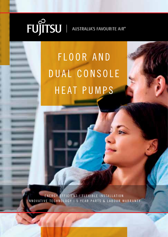# **FUJITSU** | AUSTRALIA'S FAVOURITE AIR<sup>®</sup>

# FLOOR AND DUAL CONSOLE HEAT PUMPS

ENERGY EFFICIENT | FLEXIBLE INSTALLATION INNOVATIVE TECHNOLOGY | 5 YEAR PARTS & LABOUR WARRANTY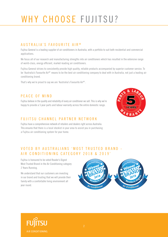# WHY CHOOSE FUJITSU?

### AUSTRALIA'S FAVOURITE AIR ®

Fujitsu General is a leading supplier of air conditioners in Australia, with a portfolio to suit both residential and commercial applications.

We focus all of our research and manufacturing strengths into air conditioners which has resulted in the extensive range of world-class, energy efficient, market-leading air conditioners.

Fujitsu General strives to consistently provide high quality, reliable products accompanied by superior customer service. To be 'Australia's Favourite Air®' means to be the best air conditioning company to deal with in Australia, not just a leading air conditioning brand.

That's why we're proud to say we are 'Australia's Favourite Air®'.

### PEACE OF MIND

Fujitsu believe in the quality and reliability of every air conditioner we sell. This is why we're happy to provide a 5 year parts and labour warranty across the entire domestic range.

### FUJITSU CHANNEL PARTNER NETWORK

Fujitsu have a comprehensive network of retailers and dealers right across Australia. This ensures that there is a local stockist in your area to assist you in purchasing a Fujitsu air conditioning system for your home.



### VOTED BY AUSTRALIANS 'MOST TRUSTED BRAND -AIR CONDITIONING CATEGORY 2018 & 2019'

Fujitsu is honoured to be voted Reader's Digest Most Trusted Brand in the Air Conditioning category 2 Years Running.

We understand that our customers are investing in our brand and trusting that we will provide their family with a comfortable living environment all year round.



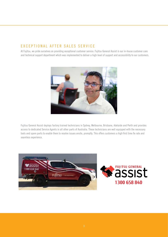### EXCEPTIONAL AFTER SALES SERVICE

At Fujitsu, we pride ourselves on providing exceptional customer service. Fujitsu General Assist is our in-house customer care and technical support department which was implemented to deliver a high level of support and accessibility to our customers.



Fujitsu General Assist deploys factory trained technicians in Sydney, Melbourne, Brisbane, Adelaide and Perth and provides access to dedicated Service Agents in all other parts of Australia. These technicians are well equipped with the necessary tools and spare parts to enable them to resolve issues onsite, promptly. This offers customers a high first time fix rate and seamless experience.



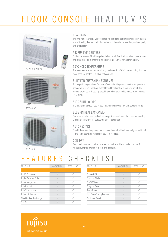# FLOOR CONSOLE HEAT PUMPS





AOTV09LAC



### DUAL FANS

The twin fan operation gives you complete control to heat or cool your room quickly and efficiently, then switch to the top fan only to maintain your temperature quietly and effortlessly.

### AIR PURIFYING FILTERS

Fujitsu's advanced filtration system helps absorb fine dust, invisible mould spores and other airborne allergens to help deliver a healthier home environment.

### 10°C HOLD TEMPERATURE

The room temperature can be set to go no lower than 10°C, thus ensuring that the room does not get too cold when not occupied.

### BUILT FOR AUSTRALIAN EXTREMES

This superb range delivers fast and effective heating even when the temperature gets down to -15°C, making it ideal for colder climates. It can also handle the warmer extremes with cooling capabilities when the outside temperature reaches up to 43°C.

### AUTO SHUT LOUVRE

The auto shut louvres close or open automatically when the unit stops or starts.

### BLUE FIN HEAT EXCHANGER

Corrosion resistance of the heat exchanger in coastal areas has been improved by blue fin treatment of the outdoor unit heat exchanger.

### AUTO RESTART

Should there be a temporary loss of power, the unit will automatically restart itself in the same operating mode once power is restored.

### COIL DRY

Runs the indoor fan on ultra low speed to dry the inside of the heat pump. This helps prevent the growth of mould and bacteria.

### FEATURES CHECKLIST

| FEATURES                       | AGTV09LAC | AGTV14LAC |
|--------------------------------|-----------|-----------|
|                                |           |           |
| All DC Components              |           |           |
| Apple-Catechin Filter          |           |           |
| Auto Changeover                |           |           |
| Auto Restart                   |           |           |
| Auto Shut Louvre               |           |           |
| Automatic Louvre               |           |           |
| <b>Blue Fin Heat Exchanger</b> |           |           |
| Coil Dry                       |           |           |

| FEATURES                | AGTV09LAC | AGTV14LAC |
|-------------------------|-----------|-----------|
|                         |           |           |
| <b>Connect Kit</b>      |           |           |
| <b>Economy Mode</b>     |           |           |
| On-Off Timer            |           |           |
| Program Timer           |           |           |
| Sleep Timer             |           |           |
| Up / Down Swing Louvres |           |           |
| Washable Panel          |           |           |
|                         |           |           |

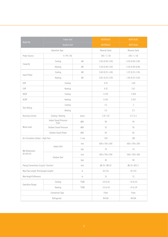|                                          | <b>Indoor Unit</b><br>Outdoor Unit     |                | AGTV09LAC           | AGTV14LAC           |
|------------------------------------------|----------------------------------------|----------------|---------------------|---------------------|
| Model No.                                |                                        |                | AOTV09LAC           | AOTV14LAL           |
|                                          | Operation Type                         |                | Reverse Cycle       | Reverse Cycle       |
| Power Source                             | V/Ph/HZ                                |                | 240/1/50            | 240/1/50            |
|                                          | Cooling                                | kW             | $2.60(0.90-3.50)$   | 4.20 (0.90-5.00)    |
| Capacity                                 | Heating                                | kW             | 3.50 (0.90-5.50)    | $5.20(0.90 - 8.00)$ |
|                                          | Cooling                                | kW             | $0.60(0.25 - 1.40)$ | 1.22 (0.25-1.95)    |
| Input Power                              | Heating                                | kW             | $0.81(0.25 - 2.20)$ | $1.44(0.25-3.05)$   |
| EER                                      | Cooling                                |                | 4.33                | 3.44                |
| COP                                      | Heating                                |                | 4.32                | 3.61                |
| AEER                                     | Cooling                                |                | 4.102               | 3.369               |
| <b>ACOP</b>                              | Heating                                |                | 4.341               | 3.552               |
| Cooling<br><b>Star Rating</b><br>Heating |                                        |                | 3.5                 | $\overline{2}$      |
|                                          |                                        |                | 3.5                 | 2.5                 |
| Running Current                          | Cooling / Heating                      | amps           | 2.8 / 3.8           | 5.3/6.1             |
|                                          | <b>Indoor Sound Pressure</b><br>(High) | dBA            | 40                  | 44                  |
| Noise Level                              | Outdoor Sound Pressure                 | dBA            | 33                  | 56                  |
|                                          | Outdoor Sound Power                    | dBA            | 64                  | 66                  |
| Air Circulation (Indoor - High Fan)      |                                        | I/sec          | 158                 | 180                 |
|                                          | Indoor Unit                            | mm             | 600 x 740 x 200     | 600 x 740 x 200     |
| Net Dimensions                           |                                        | kgs            | 14                  | 14                  |
| $(H \times W \times D)$                  | Outdoor Unit                           | mm             | 540 x 790 x 290     | 540 x 790 x 300     |
|                                          |                                        | kgs            | 36                  | 40                  |
| Piping Connections (Liquid / Suction)    |                                        | mm             | Ø6.35 / Ø9.52       | Ø6.35 / Ø12.7       |
| Max Pipe Length (Precharged Length)      |                                        | $\,$ m $\,$    | 20(15)              | 20(15)              |
| Max Height Difference                    |                                        | $\,$ m $\,$    | 15                  | 15                  |
|                                          | Cooling                                | $^{\circ}$ CDB | $-10t043$           | $-10t043$           |
| <b>Operation Range</b>                   | Heating                                | $^{\circ}$ CDB | $-15t024$           | $-15$ to 24         |
| Connection Type                          |                                        | Flare          | Flare               |                     |
| Refrigerant                              |                                        | R410A          | R410A               |                     |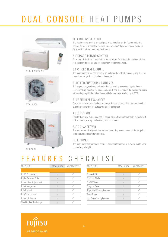# DUAL CONSOLE HEAT PUMPS







AOTG18LACC



### FLEXIBLE INSTALLATION

The Dual Console models are designed to be installed on the floor or under the ceiling. An ideal alternative for consumers who don't have wall space available for a traditional wall mounted heat pump.

### AUTOMATIC LOUVRE CONTROL

An automatic horizontal and vertical louvre allows for a three dimensional airflow into the room to ensure you get the airflow to the whole room.

### 10°C HOLD TEMPERATURE

The room temperature can be set to go no lower than 10°C, thus ensuring that the room does not get too cold when not occupied.

### BUILT FOR AUSTRALIAN EXTREMES

This superb range delivers fast and effective heating even when it gets down to -15°C, making it perfect for colder climates. It can also handle the warmer extremes with cooling capabilities when the outside temperature reaches up to 46°C.

### BLUE FIN HEAT EXCHANGER

Corrosion resistance of the heat exchanger in coastal areas has been improved by blue fin treatment of the outdoor unit heat exchanger.

### AUTO RESTART

Should there be a temporary loss of power, the unit will automatically restart itself in the same operating mode once power is restored.

### AUTO CHANGEOVER

The unit automatically switches between operating modes based on the set point temperature and room temperature.

### SLEEP TIMER

The micro processor gradually changes the room temperature allowing you to sleep comfortably at night.

### FEATURES CHECKLIST

| ABTG18LVTA | ABTG24LVTC |
|------------|------------|
|            |            |
|            |            |
|            |            |
|            |            |
|            |            |
|            |            |
|            |            |
|            |            |
|            |            |
|            |            |

| FEATURES                   | ABTG18LVTA | ABTG24LVTC |
|----------------------------|------------|------------|
|                            |            |            |
| <b>Connect Kit</b>         |            |            |
| <b>Economy Mode</b>        |            |            |
| On-Off Timer               |            |            |
| Program Timer              |            |            |
| Right / Left Swing Louvres |            |            |
| Sleep Timer                |            |            |
| Up / Down Swing Louvres    |            |            |
|                            |            |            |

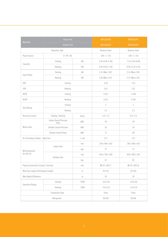|                                          | <b>Indoor Unit</b><br>Outdoor Unit     |                | ABTG18LVTA          | ABTG24LVTC       |
|------------------------------------------|----------------------------------------|----------------|---------------------|------------------|
| Model No.                                |                                        |                | AOTG18LACC          | AOTG24LATC       |
|                                          | Operation Type                         |                | Reverse Cycle       | Reverse Cycle    |
| Power Source                             | V/Ph/HZ                                |                | 240 / 1 / 50        | 240/1/50         |
|                                          | Cooling                                | kW             | 5.20 (0.90-5.90)    | 7.10 (2.90-8.00) |
| Capacity                                 | Heating                                | kW             | $6.00(0.90 - 7.50)$ | 8.00 (2.20-9.10) |
|                                          | Cooling                                | kW             | 1.51 (Max 1.82)     | 2.14 (Max 2.40)  |
| Input Power                              | Heating                                | kW             | 1.66 (Max 2.35)     | 2.21 (Max 2.65)  |
| EER                                      | Cooling                                |                | 3.44                | 3.32             |
| COP                                      | Heating                                |                | 3.61                | 3.61             |
| AEER                                     | Cooling                                |                | 3.451               | 3.346            |
| <b>ACOP</b>                              | Heating                                |                | 3.621               | 3.592            |
| Cooling<br><b>Star Rating</b><br>Heating |                                        |                | $\sqrt{2}$          | $\overline{2}$   |
|                                          |                                        |                | 2.5                 | 2.5              |
| Running Current                          | Cooling / Heating                      | amps           | 6.4 / 7.0           | 9.0 / 9.3        |
|                                          | <b>Indoor Sound Pressure</b><br>(High) | dBA            | 44                  | 49               |
| Noise Level                              | Outdoor Sound Pressure                 | dBA            | 55                  | 53               |
|                                          | Outdoor Sound Power                    | dBA            | 71                  | 68               |
| Air Circulation (Indoor - High Fan)      |                                        | I/sec          | 217                 | 272              |
|                                          | Indoor Unit                            | mm             | 199 x 990 x 655     | 199 x 990 x 655  |
| Net Dimensions                           |                                        | kgs            | 27                  | 27               |
| $(H \times W \times D)$                  | Outdoor Unit                           | mm             | 620 x 790 x 290     | 830 x 900 x 330  |
|                                          |                                        | kgs            | 41                  | 60               |
| Piping Connections (Liquid / Suction)    |                                        | mm             | Ø6.35 / Ø12.7       | Ø6.35 / Ø15.8    |
| Max Pipe Length (Precharged Length)      |                                        | $\, {\rm m}$   | 30(15)              | 30 (20)          |
| Max Height Difference                    |                                        | $\, {\rm m}$   | 20                  | $30\,$           |
|                                          | Cooling                                | $^{\circ}$ CDB | $-10$ to $46$       | $-10t046$        |
| <b>Operation Range</b>                   | Heating                                | $^{\circ}$ CDB | $-15$ to 24         | $-15$ to 24      |
| Connection Type                          |                                        | Flare          | Flare               |                  |
| Refrigerant                              |                                        | R410A          | R410A               |                  |